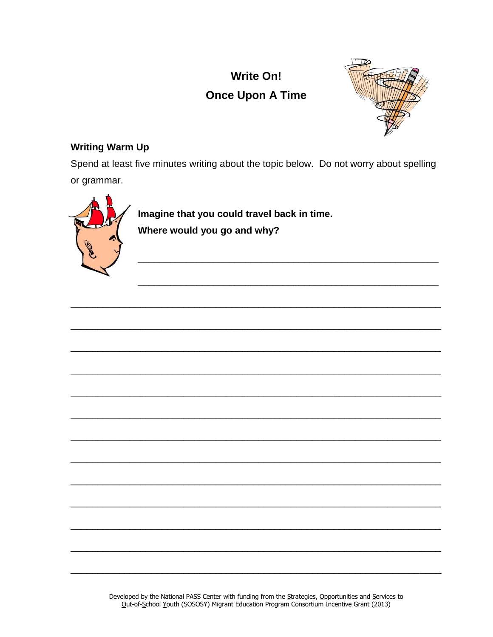# **Write On! Once Upon A Time**



# **Writing Warm Up**

Spend at least five minutes writing about the topic below. Do not worry about spelling or grammar.



Imagine that you could travel back in time. Where would you go and why?

Developed by the National PASS Center with funding from the Strategies, Opportunities and Services to Out-of-School Youth (SOSOSY) Migrant Education Program Consortium Incentive Grant (2013)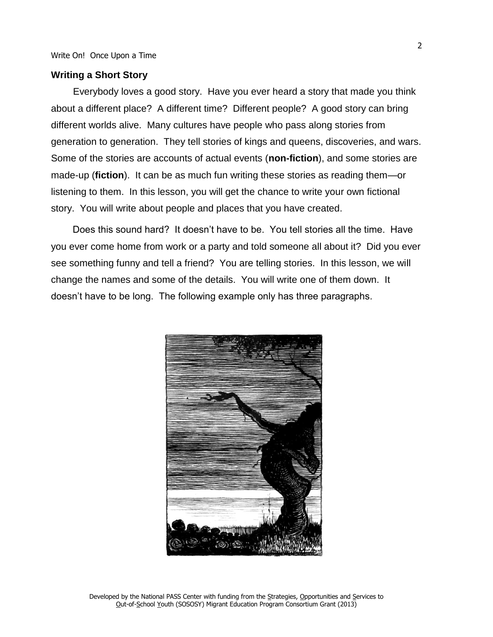#### **Writing a Short Story**

Everybody loves a good story. Have you ever heard a story that made you think about a different place? A different time? Different people? A good story can bring different worlds alive. Many cultures have people who pass along stories from generation to generation. They tell stories of kings and queens, discoveries, and wars. Some of the stories are accounts of actual events (**non-fiction**), and some stories are made-up (**fiction**). It can be as much fun writing these stories as reading them—or listening to them. In this lesson, you will get the chance to write your own fictional story. You will write about people and places that you have created.

Does this sound hard? It doesn't have to be. You tell stories all the time. Have you ever come home from work or a party and told someone all about it? Did you ever see something funny and tell a friend? You are telling stories. In this lesson, we will change the names and some of the details. You will write one of them down. It doesn't have to be long. The following example only has three paragraphs.

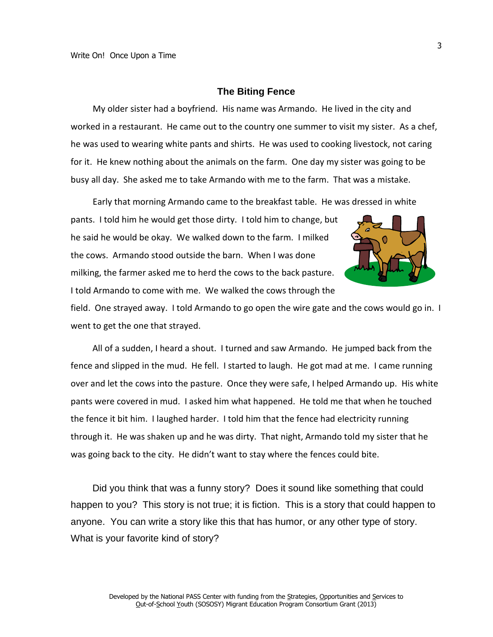#### **The Biting Fence**

My older sister had a boyfriend. His name was Armando. He lived in the city and worked in a restaurant. He came out to the country one summer to visit my sister. As a chef, he was used to wearing white pants and shirts. He was used to cooking livestock, not caring for it. He knew nothing about the animals on the farm. One day my sister was going to be busy all day. She asked me to take Armando with me to the farm. That was a mistake.

Early that morning Armando came to the breakfast table. He was dressed in white

pants. I told him he would get those dirty. I told him to change, but he said he would be okay. We walked down to the farm. I milked the cows. Armando stood outside the barn. When I was done milking, the farmer asked me to herd the cows to the back pasture. I told Armando to come with me. We walked the cows through the



field. One strayed away. I told Armando to go open the wire gate and the cows would go in. I went to get the one that strayed.

All of a sudden, I heard a shout. I turned and saw Armando. He jumped back from the fence and slipped in the mud. He fell. I started to laugh. He got mad at me. I came running over and let the cows into the pasture. Once they were safe, I helped Armando up. His white pants were covered in mud. I asked him what happened. He told me that when he touched the fence it bit him. I laughed harder. I told him that the fence had electricity running through it. He was shaken up and he was dirty. That night, Armando told my sister that he was going back to the city. He didn't want to stay where the fences could bite.

Did you think that was a funny story? Does it sound like something that could happen to you? This story is not true; it is fiction. This is a story that could happen to anyone. You can write a story like this that has humor, or any other type of story. What is your favorite kind of story?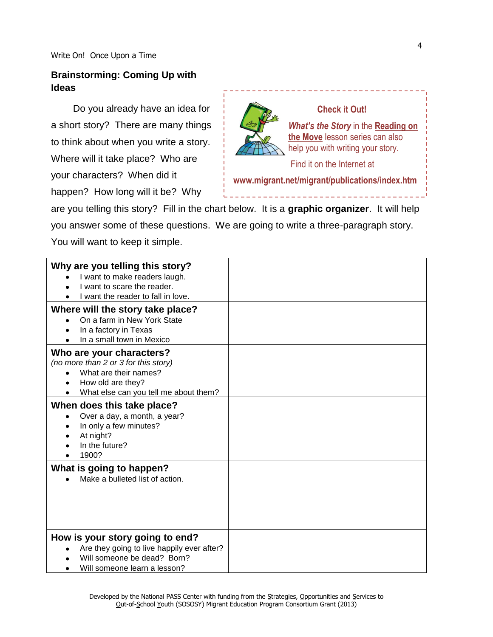# **Brainstorming: Coming Up with Ideas**

Do you already have an idea for a short story? There are many things to think about when you write a story. Where will it take place? Who are your characters? When did it happen? How long will it be? Why



are you telling this story? Fill in the chart below. It is a **graphic organizer**. It will help you answer some of these questions. We are going to write a three-paragraph story. You will want to keep it simple.

| Why are you telling this story?<br>I want to make readers laugh.<br>I want to scare the reader.<br>I want the reader to fall in love.                   |  |
|---------------------------------------------------------------------------------------------------------------------------------------------------------|--|
| Where will the story take place?<br>On a farm in New York State<br>In a factory in Texas<br>In a small town in Mexico                                   |  |
| Who are your characters?<br>(no more than 2 or 3 for this story)<br>What are their names?<br>How old are they?<br>What else can you tell me about them? |  |
| When does this take place?<br>Over a day, a month, a year?<br>In only a few minutes?<br>At night?<br>In the future?<br>1900?                            |  |
| What is going to happen?<br>Make a bulleted list of action.                                                                                             |  |
| How is your story going to end?<br>Are they going to live happily ever after?<br>Will someone be dead? Born?<br>Will someone learn a lesson?            |  |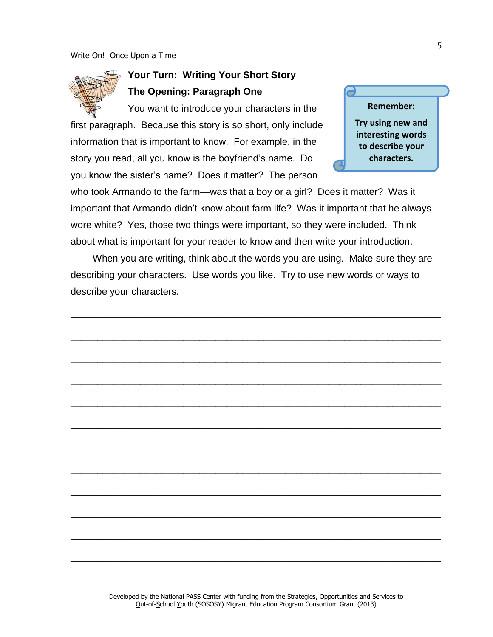# **Your Turn: Writing Your Short Story The Opening: Paragraph One**

You want to introduce your characters in the first paragraph. Because this story is so short, only include information that is important to know. For example, in the story you read, all you know is the boyfriend's name. Do you know the sister's name? Does it matter? The person



who took Armando to the farm—was that a boy or a girl? Does it matter? Was it important that Armando didn't know about farm life? Was it important that he always wore white? Yes, those two things were important, so they were included. Think about what is important for your reader to know and then write your introduction.

When you are writing, think about the words you are using. Make sure they are describing your characters. Use words you like. Try to use new words or ways to describe your characters.

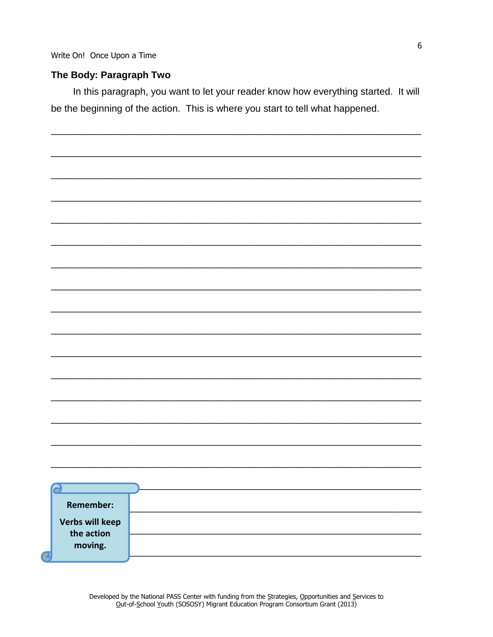### The Body: Paragraph Two

In this paragraph, you want to let your reader know how everything started. It will be the beginning of the action. This is where you start to tell what happened.

| Remember:       |  |  |
|-----------------|--|--|
|                 |  |  |
| Verbs will keep |  |  |
| the action      |  |  |
| moving.         |  |  |
|                 |  |  |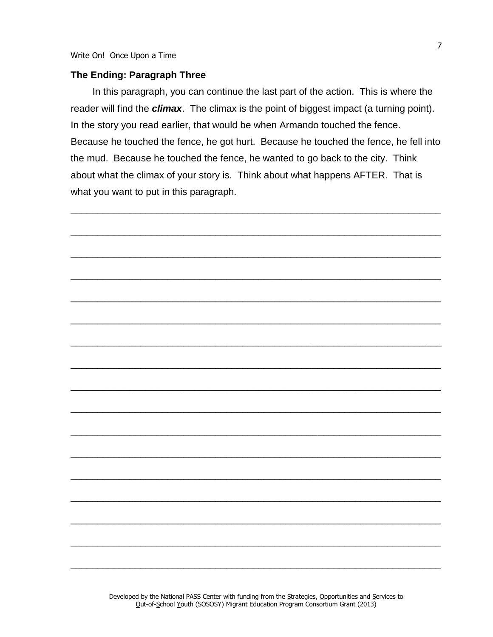#### **The Ending: Paragraph Three**

In this paragraph, you can continue the last part of the action. This is where the reader will find the *climax*. The climax is the point of biggest impact (a turning point). In the story you read earlier, that would be when Armando touched the fence. Because he touched the fence, he got hurt. Because he touched the fence, he fell into the mud. Because he touched the fence, he wanted to go back to the city. Think about what the climax of your story is. Think about what happens AFTER. That is what you want to put in this paragraph.

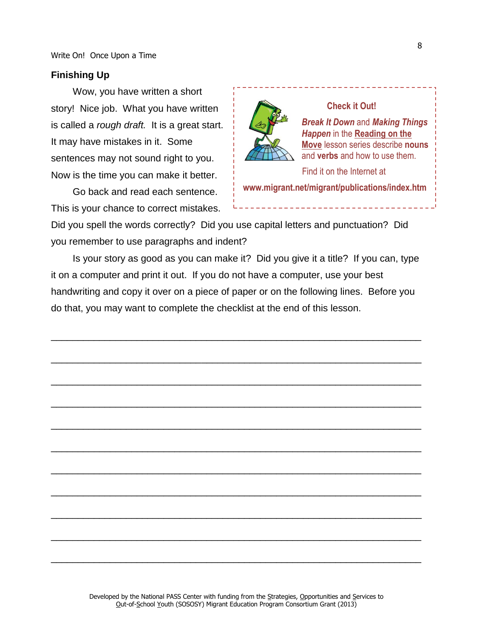#### **Finishing Up**

Wow, you have written a short story! Nice job. What you have written is called a *rough draft.* It is a great start. It may have mistakes in it. Some sentences may not sound right to you. Now is the time you can make it better.

Go back and read each sentence. This is your chance to correct mistakes.



#### **Check it Out!**

*Break It Down* and *Making Things Happen* in the **Reading on the Move** lesson series describe **nouns** and **verbs** and how to use them.

Find it on the Internet at **www.migrant.net/migrant/publications/index.htm**

\_\_\_\_\_\_\_\_\_\_\_\_\_\_\_\_\_\_\_

Did you spell the words correctly? Did you use capital letters and punctuation? Did you remember to use paragraphs and indent?

Is your story as good as you can make it? Did you give it a title? If you can, type it on a computer and print it out. If you do not have a computer, use your best handwriting and copy it over on a piece of paper or on the following lines. Before you do that, you may want to complete the checklist at the end of this lesson.